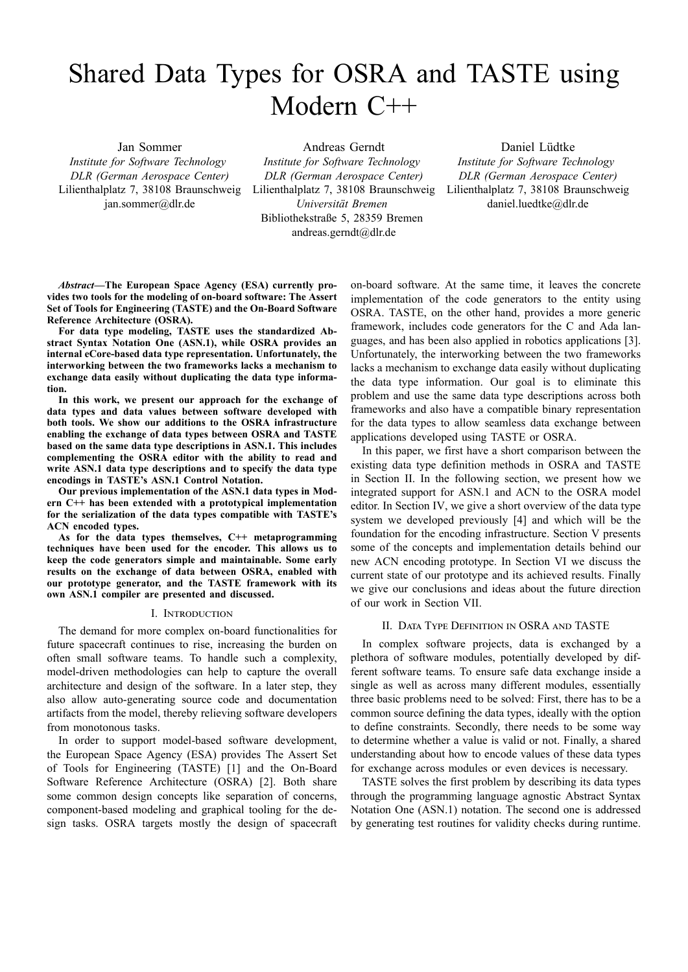# Shared Data Types for OSRA and TASTE using Modern C++

Jan Sommer *Institute for Software Technology DLR (German Aerospace Center)* Lilienthalplatz 7, 38108 Braunschweig jan.sommer@dlr.de

Andreas Gerndt *Institute for Software Technology DLR (German Aerospace Center)* Lilienthalplatz 7, 38108 Braunschweig *Universität Bremen* Bibliothekstraße 5, 28359 Bremen andreas.gerndt@dlr.de

Daniel Lüdtke *Institute for Software Technology DLR (German Aerospace Center)* Lilienthalplatz 7, 38108 Braunschweig daniel.luedtke@dlr.de

*Abstract***—The European Space Agency (ESA) currently pro**vides two tools for the modeling of on-board software: The Assert **Set of Tools for Engineering (TASTE) and the On-Board Software Reference Architecture (OSRA).**

**For data type modeling, TASTE uses the standardized Abstract Syntax Notation One (ASN.1), while OSRA provides an internal eCorebased data type representation. Unfortunately, the interworking between the two frameworks lacks a mechanism to exchange data easily without duplicating the data type information.**

**In this work, we present our approach for the exchange of data types and data values between software developed with both tools. We show our additions to the OSRA infrastructure enabling the exchange of data types between OSRA and TASTE based on the same data type descriptions in ASN.1. This includes complementing the OSRA editor with the ability to read and write ASN.1 data type descriptions and to specify the data type encodings in TASTE's ASN.1 Control Notation.**

**Our previous implementation of the ASN.1 data types in Modern C++ has been extended with a prototypical implementation for the serialization of the data types compatible with TASTE's ACN encoded types.**

**As for the data types themselves, C++ metaprogramming techniques have been used for the encoder. This allows us to keep the code generators simple and maintainable. Some early results on the exchange of data between OSRA, enabled with our prototype generator, and the TASTE framework with its own ASN.1 compiler are presented and discussed.**

#### I. INTRODUCTION

The demand for more complex on-board functionalities for future spacecraft continues to rise, increasing the burden on often small software teams. To handle such a complexity, model-driven methodologies can help to capture the overall architecture and design of the software. In a later step, they also allow auto-generating source code and documentation artifacts from the model, thereby relieving software developers from monotonous tasks.

In order to support model-based software development, the European Space Agency (ESA) provides The Assert Set of Tools for Engineering (TASTE) [1] and the On-Board Software Reference Architecture (OSRA) [2]. Both share some common design concepts like separation of concerns, component-based modeling and graphical tooling for the design tasks. OSRA targets mostly the design of spacecraft on-board software. At the same time, it leaves the concrete implementation of the code generators to the entity using OSRA. TASTE, on the other hand, provides a more generic framework, includes code generators for the C and Ada languages, and has been also applied in robotics applications [3]. Unfortunately, the interworking between the two frameworks lacks a mechanism to exchange data easily without duplicating the data type information. Our goal is to eliminate this problem and use the same data type descriptions across both frameworks and also have a compatible binary representation for the data types to allow seamless data exchange between applications developed using TASTE or OSRA.

In this paper, we first have a short comparison between the existing data type definition methods in OSRA and TASTE in Section II. In the following section, we present how we integrated support for ASN.1 and ACN to the OSRA model editor. In Section IV, we give a short overview of the data type system we developed previously [4] and which will be the foundation for the encoding infrastructure. Section V presents some of the concepts and implementation details behind our new ACN encoding prototype. In Section VI we discuss the current state of our prototype and its achieved results. Finally we give our conclusions and ideas about the future direction of our work in Section VII.

# II. DATA TYPE DEFINITION IN OSRA AND TASTE

In complex software projects, data is exchanged by a plethora of software modules, potentially developed by different software teams. To ensure safe data exchange inside a single as well as across many different modules, essentially three basic problems need to be solved: First, there has to be a common source defining the data types, ideally with the option to define constraints. Secondly, there needs to be some way to determine whether a value is valid or not. Finally, a shared understanding about how to encode values of these data types for exchange across modules or even devices is necessary.

TASTE solves the first problem by describing its data types through the programming language agnostic Abstract Syntax Notation One (ASN.1) notation. The second one is addressed by generating test routines for validity checks during runtime.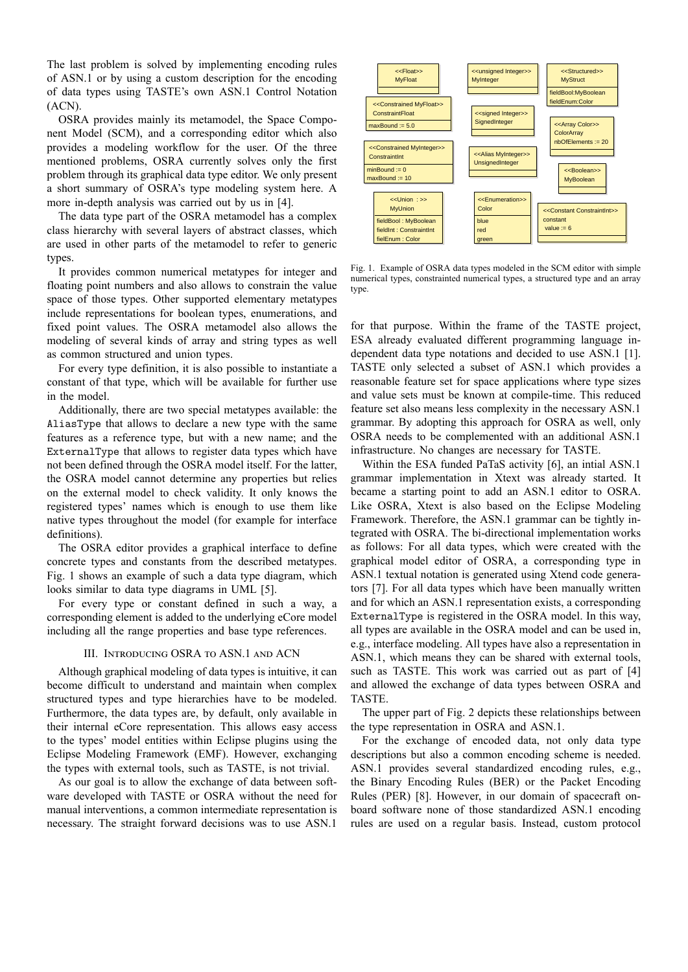The last problem is solved by implementing encoding rules of ASN.1 or by using a custom description for the encoding of data types using TASTE's own ASN.1 Control Notation (ACN).

OSRA provides mainly its metamodel, the Space Component Model (SCM), and a corresponding editor which also provides a modeling workflow for the user. Of the three mentioned problems, OSRA currently solves only the first problem through its graphical data type editor. We only present a short summary of OSRA's type modeling system here. A more in-depth analysis was carried out by us in [4].

The data type part of the OSRA metamodel has a complex class hierarchy with several layers of abstract classes, which are used in other parts of the metamodel to refer to generic types.

It provides common numerical metatypes for integer and floating point numbers and also allows to constrain the value space of those types. Other supported elementary metatypes include representations for boolean types, enumerations, and fixed point values. The OSRA metamodel also allows the modeling of several kinds of array and string types as well as common structured and union types.

For every type definition, it is also possible to instantiate a constant of that type, which will be available for further use in the model.

Additionally, there are two special metatypes available: the AliasType that allows to declare a new type with the same features as a reference type, but with a new name; and the ExternalType that allows to register data types which have not been defined through the OSRA model itself. For the latter, the OSRA model cannot determine any properties but relies on the external model to check validity. It only knows the registered types' names which is enough to use them like native types throughout the model (for example for interface definitions).

The OSRA editor provides a graphical interface to define concrete types and constants from the described metatypes. Fig. 1 shows an example of such a data type diagram, which looks similar to data type diagrams in UML [5].

For every type or constant defined in such a way, a corresponding element is added to the underlying eCore model including all the range properties and base type references.

#### III. INTRODUCING OSRA TO ASN.1 AND ACN

Although graphical modeling of data types is intuitive, it can become difficult to understand and maintain when complex structured types and type hierarchies have to be modeled. Furthermore, the data types are, by default, only available in their internal eCore representation. This allows easy access to the types' model entities within Eclipse plugins using the Eclipse Modeling Framework (EMF). However, exchanging the types with external tools, such as TASTE, is not trivial.

As our goal is to allow the exchange of data between software developed with TASTE or OSRA without the need for manual interventions, a common intermediate representation is necessary. The straight forward decisions was to use ASN.1



Fig. 1. Example of OSRA data types modeled in the SCM editor with simple numerical types, constrainted numerical types, a structured type and an array type.

for that purpose. Within the frame of the TASTE project, ESA already evaluated different programming language independent data type notations and decided to use ASN.1 [1]. TASTE only selected a subset of ASN.1 which provides a reasonable feature set for space applications where type sizes and value sets must be known at compile-time. This reduced feature set also means less complexity in the necessary ASN.1 grammar. By adopting this approach for OSRA as well, only OSRA needs to be complemented with an additional ASN.1 infrastructure. No changes are necessary for TASTE.

Within the ESA funded PaTaS activity [6], an intial ASN.1 grammar implementation in Xtext was already started. It became a starting point to add an ASN.1 editor to OSRA. Like OSRA, Xtext is also based on the Eclipse Modeling Framework. Therefore, the ASN.1 grammar can be tightly integrated with OSRA. The bi-directional implementation works as follows: For all data types, which were created with the graphical model editor of OSRA, a corresponding type in ASN.1 textual notation is generated using Xtend code generators [7]. For all data types which have been manually written and for which an ASN.1 representation exists, a corresponding ExternalType is registered in the OSRA model. In this way, all types are available in the OSRA model and can be used in, e.g., interface modeling. All types have also a representation in ASN.1, which means they can be shared with external tools, such as TASTE. This work was carried out as part of [4] and allowed the exchange of data types between OSRA and TASTE.

The upper part of Fig. 2 depicts these relationships between the type representation in OSRA and ASN.1.

For the exchange of encoded data, not only data type descriptions but also a common encoding scheme is needed. ASN.1 provides several standardized encoding rules, e.g., the Binary Encoding Rules (BER) or the Packet Encoding Rules (PER) [8]. However, in our domain of spacecraft onboard software none of those standardized ASN.1 encoding rules are used on a regular basis. Instead, custom protocol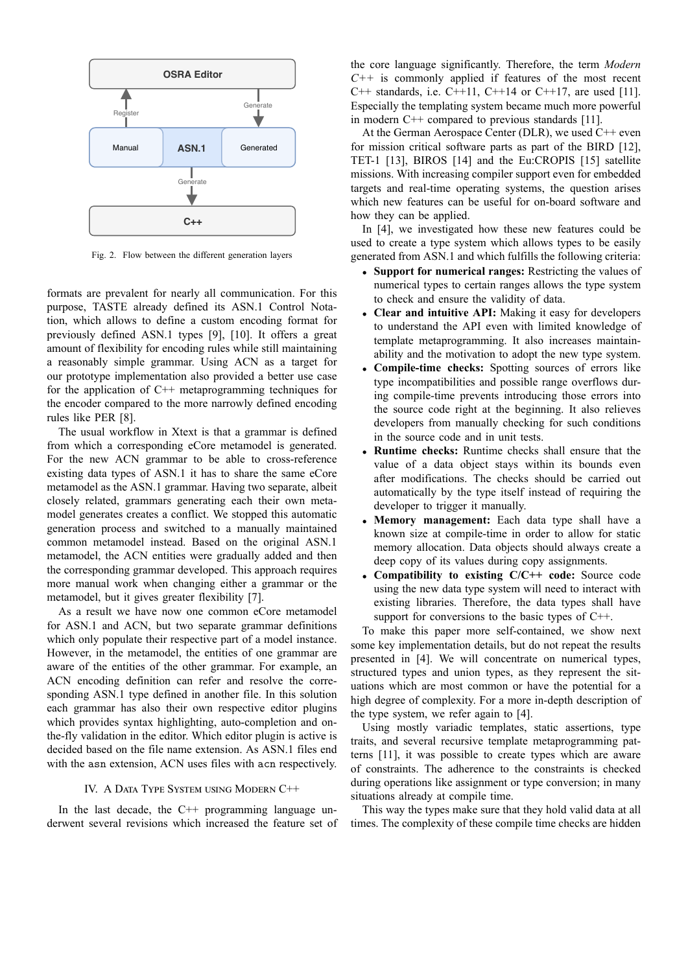

Fig. 2. Flow between the different generation layers

formats are prevalent for nearly all communication. For this purpose, TASTE already defined its ASN.1 Control Notation, which allows to define a custom encoding format for previously defined ASN.1 types [9], [10]. It offers a great amount of flexibility for encoding rules while still maintaining a reasonably simple grammar. Using ACN as a target for our prototype implementation also provided a better use case for the application of C++ metaprogramming techniques for the encoder compared to the more narrowly defined encoding rules like PER [8].

The usual workflow in Xtext is that a grammar is defined from which a corresponding eCore metamodel is generated. For the new ACN grammar to be able to cross-reference existing data types of ASN.1 it has to share the same eCore metamodel as the ASN.1 grammar. Having two separate, albeit closely related, grammars generating each their own metamodel generates creates a conflict. We stopped this automatic generation process and switched to a manually maintained common metamodel instead. Based on the original ASN.1 metamodel, the ACN entities were gradually added and then the corresponding grammar developed. This approach requires more manual work when changing either a grammar or the metamodel, but it gives greater flexibility [7].

As a result we have now one common eCore metamodel for ASN.1 and ACN, but two separate grammar definitions which only populate their respective part of a model instance. However, in the metamodel, the entities of one grammar are aware of the entities of the other grammar. For example, an ACN encoding definition can refer and resolve the corresponding ASN.1 type defined in another file. In this solution each grammar has also their own respective editor plugins which provides syntax highlighting, auto-completion and onthe-fly validation in the editor. Which editor plugin is active is decided based on the file name extension. As ASN.1 files end with the asn extension, ACN uses files with acn respectively.

#### IV. A DATA TYPE SYSTEM USING MODERN C++

In the last decade, the  $C++$  programming language underwent several revisions which increased the feature set of

the core language significantly. Therefore, the term *Modern C++* is commonly applied if features of the most recent C++ standards, i.e. C++11, C++14 or C++17, are used [11]. Especially the templating system became much more powerful in modern C++ compared to previous standards [11].

At the German Aerospace Center (DLR), we used C++ even for mission critical software parts as part of the BIRD [12], TET-1 [13], BIROS [14] and the Eu:CROPIS [15] satellite missions. With increasing compiler support even for embedded targets and real-time operating systems, the question arises which new features can be useful for on-board software and how they can be applied.

In [4], we investigated how these new features could be used to create a type system which allows types to be easily generated from ASN.1 and which fulfills the following criteria:

- *•* **Support for numerical ranges:** Restricting the values of numerical types to certain ranges allows the type system to check and ensure the validity of data.
- *•* **Clear and intuitive API:** Making it easy for developers to understand the API even with limited knowledge of template metaprogramming. It also increases maintainability and the motivation to adopt the new type system.
- **Compile-time checks:** Spotting sources of errors like type incompatibilities and possible range overflows during compile-time prevents introducing those errors into the source code right at the beginning. It also relieves developers from manually checking for such conditions in the source code and in unit tests.
- *•* **Runtime checks:** Runtime checks shall ensure that the value of a data object stays within its bounds even after modifications. The checks should be carried out automatically by the type itself instead of requiring the developer to trigger it manually.
- *•* **Memory management:** Each data type shall have a known size at compile-time in order to allow for static memory allocation. Data objects should always create a deep copy of its values during copy assignments.
- *•* **Compatibility to existing C/C++ code:** Source code using the new data type system will need to interact with existing libraries. Therefore, the data types shall have support for conversions to the basic types of C++.

To make this paper more self-contained, we show next some key implementation details, but do not repeat the results presented in [4]. We will concentrate on numerical types, structured types and union types, as they represent the situations which are most common or have the potential for a high degree of complexity. For a more in-depth description of the type system, we refer again to [4].

Using mostly variadic templates, static assertions, type traits, and several recursive template metaprogramming patterns [11], it was possible to create types which are aware of constraints. The adherence to the constraints is checked during operations like assignment or type conversion; in many situations already at compile time.

This way the types make sure that they hold valid data at all times. The complexity of these compile time checks are hidden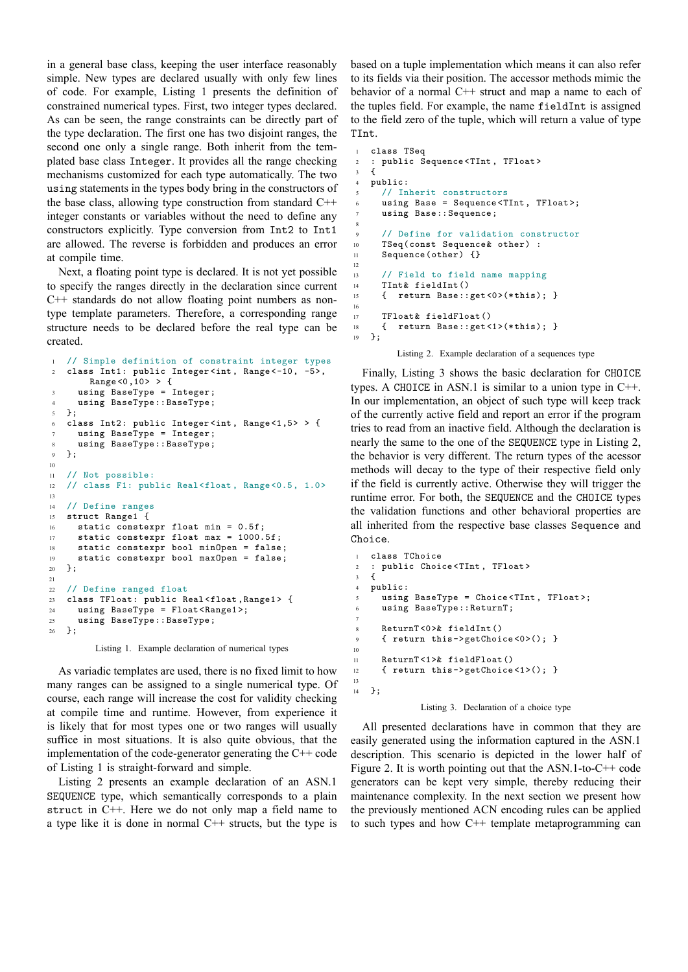in a general base class, keeping the user interface reasonably simple. New types are declared usually with only few lines of code. For example, Listing 1 presents the definition of constrained numerical types. First, two integer types declared. As can be seen, the range constraints can be directly part of the type declaration. The first one has two disjoint ranges, the second one only a single range. Both inherit from the templated base class Integer. It provides all the range checking mechanisms customized for each type automatically. The two using statements in the types body bring in the constructors of the base class, allowing type construction from standard C++ integer constants or variables without the need to define any constructors explicitly. Type conversion from Int2 to Int1 are allowed. The reverse is forbidden and produces an error at compile time.

Next, a floating point type is declared. It is not yet possible to specify the ranges directly in the declaration since current C++ standards do not allow floating point numbers as nontype template parameters. Therefore, a corresponding range structure needs to be declared before the real type can be created.

```
// Simple definition of constraint integer types
2 class Int1: public Integer <int, Range <-10, -5>,
       Range <0,10> > {
3 using BaseType = Integer;
4 using BaseType::BaseType;
5 };
6 class Int2: public Integer <int, Range <1,5> > {
     using BaseType = Integer;
8 using BaseType::BaseType;
9 };
10
11 // Not possible:
12 // class F1: public Real<float, Range<0.5, 1.0>
13
14 // Define ranges
15 struct Range1 {
16 static constexpr float min = 0.5f;
17 static constexpr float max = 1000.5f;
18 static constexpr bool minOpen = false;
19 static constexpr bool maxOpen = false;
20 };
21
22 // Define ranged float
23 class TFloat: public Real<float ,Range1> {
24 using BaseType = Float<Range1 >;
25 using BaseType::BaseType;
26 };
```
Listing 1. Example declaration of numerical types

As variadic templates are used, there is no fixed limit to how many ranges can be assigned to a single numerical type. Of course, each range will increase the cost for validity checking at compile time and runtime. However, from experience it is likely that for most types one or two ranges will usually suffice in most situations. It is also quite obvious, that the implementation of the code-generator generating the  $C++$  code of Listing 1 is straight-forward and simple.

Listing 2 presents an example declaration of an ASN.1 SEQUENCE type, which semantically corresponds to a plain struct in C++. Here we do not only map a field name to a type like it is done in normal C++ structs, but the type is based on a tuple implementation which means it can also refer to its fields via their position. The accessor methods mimic the behavior of a normal C++ struct and map a name to each of the tuples field. For example, the name fieldInt is assigned to the field zero of the tuple, which will return a value of type TInt.

```
1 class TSeq
2 : public Sequence <TInt, TFloat>
3 \leq 14 public:
     5 // Inherit constructors
     using Base = Sequence<TInt, TFloat>;
     using Base:: Sequence;
8
9 // Define for validation constructor
10 TSeq(const Sequence& other) :
11 Sequence(other) {}
12
13 // Field to field name mapping
14 TInt& fieldInt()
15 { return Base::get<0>(*this); }
16
17 TFloat& fieldFloat()
18 { return Base::get<1>(*this); }
19 };
```
Listing 2. Example declaration of a sequences type

Finally, Listing 3 shows the basic declaration for CHOICE types. A CHOICE in ASN.1 is similar to a union type in  $C++$ . In our implementation, an object of such type will keep track of the currently active field and report an error if the program tries to read from an inactive field. Although the declaration is nearly the same to the one of the SEQUENCE type in Listing 2, the behavior is very different. The return types of the acessor methods will decay to the type of their respective field only if the field is currently active. Otherwise they will trigger the runtime error. For both, the SEQUENCE and the CHOICE types the validation functions and other behavioral properties are all inherited from the respective base classes Sequence and Choice.

```
1 class TChoice
2 : public Choice<TInt, TFloat>
3 \frac{1}{2}4 public:
5 using BaseType = Choice<TInt, TFloat >;
     using BaseType::ReturnT;
8 ReturnT <0>& fieldInt()
9 { return this ->getChoice <0>(); }
11 ReturnT <1>& fieldFloat()
12 { return this ->getChoice <1>(); }
13
14 };
```
7

10

#### Listing 3. Declaration of a choice type

All presented declarations have in common that they are easily generated using the information captured in the ASN.1 description. This scenario is depicted in the lower half of Figure 2. It is worth pointing out that the ASN.1-to-C++ code generators can be kept very simple, thereby reducing their maintenance complexity. In the next section we present how the previously mentioned ACN encoding rules can be applied to such types and how C++ template metaprogramming can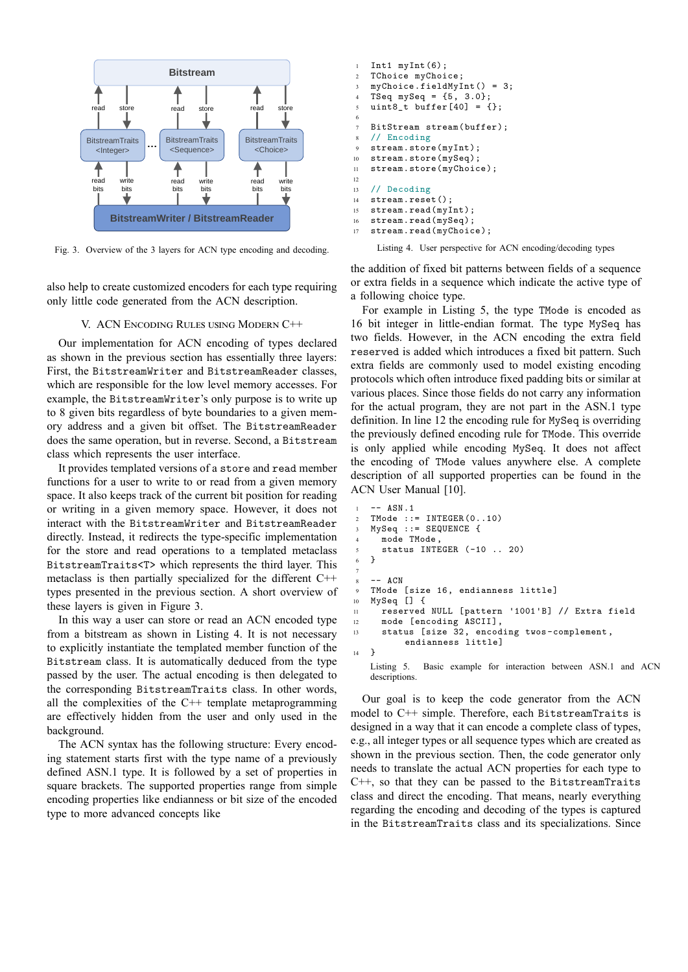

Fig. 3. Overview of the 3 layers for ACN type encoding and decoding.

also help to create customized encoders for each type requiring only little code generated from the ACN description.

#### V. ACN ENCODING RULES USING MODERN C++

Our implementation for ACN encoding of types declared as shown in the previous section has essentially three layers: First, the BitstreamWriter and BitstreamReader classes, which are responsible for the low level memory accesses. For example, the BitstreamWriter's only purpose is to write up to 8 given bits regardless of byte boundaries to a given memory address and a given bit offset. The BitstreamReader does the same operation, but in reverse. Second, a Bitstream class which represents the user interface.

It provides templated versions of a store and read member functions for a user to write to or read from a given memory space. It also keeps track of the current bit position for reading or writing in a given memory space. However, it does not interact with the BitstreamWriter and BitstreamReader directly. Instead, it redirects the type-specific implementation for the store and read operations to a templated metaclass BitstreamTraits<T> which represents the third layer. This metaclass is then partially specialized for the different C++ types presented in the previous section. A short overview of these layers is given in Figure 3.

In this way a user can store or read an ACN encoded type from a bitstream as shown in Listing 4. It is not necessary to explicitly instantiate the templated member function of the Bitstream class. It is automatically deduced from the type passed by the user. The actual encoding is then delegated to the corresponding BitstreamTraits class. In other words, all the complexities of the C++ template metaprogramming are effectively hidden from the user and only used in the background.

The ACN syntax has the following structure: Every encoding statement starts first with the type name of a previously defined ASN.1 type. It is followed by a set of properties in square brackets. The supported properties range from simple encoding properties like endianness or bit size of the encoded type to more advanced concepts like

```
1 Int1 myInt(6);
2 TChoice myChoice;
3 myChoice.fieldMyInt() = 3;
4 TSeq mySeq = {5, 3.0};
5 uint8_t buffer[40] = {};
6
7 BitStream stream(buffer);
8 // Encoding
9 stream.store(myInt);
10 stream.store(mySeq);<br>11 stream.store(myChoic
   stream.store(myChoice);
12
13 // Decoding
14 stream.reset();
15 stream.read(myInt);
16 stream.read(mySeq);
17 stream.read(myChoice);
```
Listing 4. User perspective for ACN encoding/decoding types

the addition of fixed bit patterns between fields of a sequence or extra fields in a sequence which indicate the active type of a following choice type.

For example in Listing 5, the type TMode is encoded as 16 bit integer in little-endian format. The type MySeq has two fields. However, in the ACN encoding the extra field reserved is added which introduces a fixed bit pattern. Such extra fields are commonly used to model existing encoding protocols which often introduce fixed padding bits or similar at various places. Since those fields do not carry any information for the actual program, they are not part in the ASN.1 type definition. In line 12 the encoding rule for MySeq is overriding the previously defined encoding rule for TMode. This override is only applied while encoding MySeq. It does not affect the encoding of TMode values anywhere else. A complete description of all supported properties can be found in the ACN User Manual [10].

```
-- ASN.1
2 TMode ::= INTEGER(0..10)
3 MySeq ::= SEQUENCE {
     mode TMode
     status INTEGER (-10 .. 20)
   \rightarrow7
8 -- ACN9 TMode [size 16, endianness little]
10 MySeq [] {
11 reserved NULL [pattern '1001'B] // Extra field
12 mode [encoding ASCII],
13 status [size 32, encoding twos-complement ,
          endianness little]
14 }
   Listing 5. Basic example for interaction between ASN.1 and ACN
   descriptions.
```
Our goal is to keep the code generator from the ACN model to C++ simple. Therefore, each BitstreamTraits is designed in a way that it can encode a complete class of types, e.g., all integer types or all sequence types which are created as shown in the previous section. Then, the code generator only needs to translate the actual ACN properties for each type to C++, so that they can be passed to the BitstreamTraits class and direct the encoding. That means, nearly everything regarding the encoding and decoding of the types is captured in the BitstreamTraits class and its specializations. Since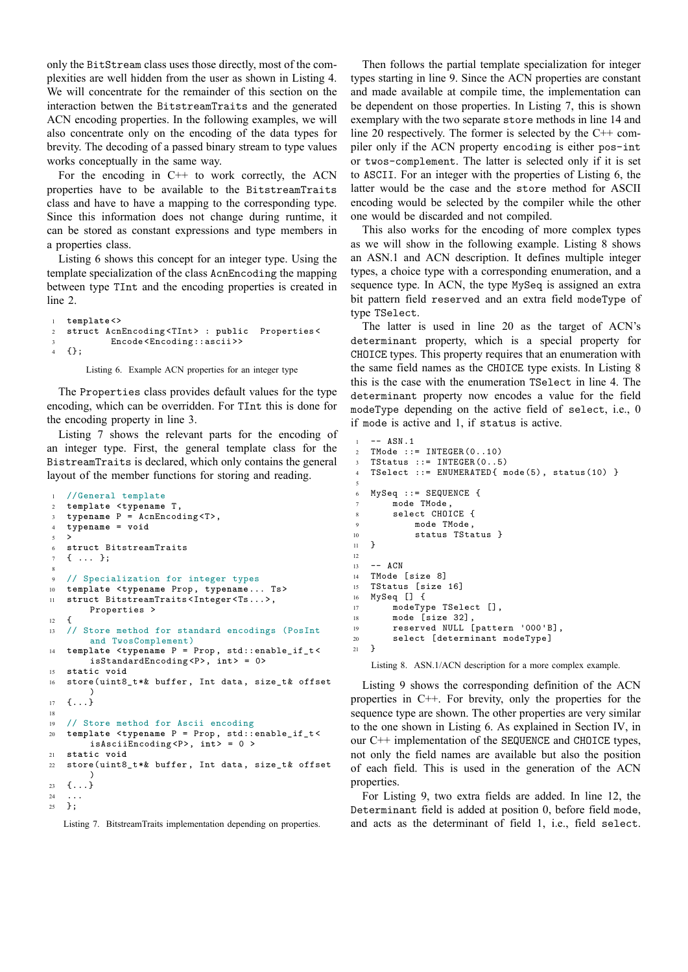only the BitStream class uses those directly, most of the complexities are well hidden from the user as shown in Listing 4. We will concentrate for the remainder of this section on the interaction betwen the BitstreamTraits and the generated ACN encoding properties. In the following examples, we will also concentrate only on the encoding of the data types for brevity. The decoding of a passed binary stream to type values works conceptually in the same way.

For the encoding in  $C++$  to work correctly, the ACN properties have to be available to the BitstreamTraits class and have to have a mapping to the corresponding type. Since this information does not change during runtime, it can be stored as constant expressions and type members in a properties class.

Listing 6 shows this concept for an integer type. Using the template specialization of the class AcnEncoding the mapping between type TInt and the encoding properties is created in line 2.

```
1 template <>
2 struct AcnEncoding <TInt> : public Properties <
           Encode<Encoding::ascii>>
4 {};
```
Listing 6. Example ACN properties for an integer type

The Properties class provides default values for the type encoding, which can be overridden. For TInt this is done for the encoding property in line 3.

Listing 7 shows the relevant parts for the encoding of an integer type. First, the general template class for the BistreamTraits is declared, which only contains the general layout of the member functions for storing and reading.

```
1 //General template
2 template <typename T,
3 typename P = AcnEncoding <T>,
4 typename = void
5 >
6 struct BitstreamTraits
7 { ... };
 8
9 // Specialization for integer types
10 template <typename Prop, typename... Ts>
11 struct BitstreamTraits <Integer <Ts...>,
       Properties >
12 \quad 513 // Store method for standard encodings (PosInt
       and TwosComplement)
14 template <typename P = Prop, std::enable_if_t <
       isStandardEncoding <P>, int> = 0>
15 static void
16 store(uint8_t*& buffer, Int data, size_t& offset
        )
17 \quad {\ldots}18
19 // Store method for Ascii encoding
20 template <typename P = Prop, std::enable_if_t <
        isAsciiEncoding <P>, int> = 0 >
21 static void
22 store(uint8_t*& buffer, Int data, size_t& offset
        )
23 \{ \ldots \}24
25 };
```
Listing 7. BitstreamTraits implementation depending on properties.

Then follows the partial template specialization for integer types starting in line 9. Since the ACN properties are constant and made available at compile time, the implementation can be dependent on those properties. In Listing 7, this is shown exemplary with the two separate store methods in line 14 and line 20 respectively. The former is selected by the C++ compiler only if the ACN property encoding is either pos-int or twos-complement. The latter is selected only if it is set to ASCII. For an integer with the properties of Listing 6, the latter would be the case and the store method for ASCII encoding would be selected by the compiler while the other one would be discarded and not compiled.

This also works for the encoding of more complex types as we will show in the following example. Listing 8 shows an ASN.1 and ACN description. It defines multiple integer types, a choice type with a corresponding enumeration, and a sequence type. In ACN, the type MySeq is assigned an extra bit pattern field reserved and an extra field modeType of type TSelect.

The latter is used in line 20 as the target of ACN's determinant property, which is a special property for CHOICE types. This property requires that an enumeration with the same field names as the CHOICE type exists. In Listing 8 this is the case with the enumeration TSelect in line 4. The determinant property now encodes a value for the field modeType depending on the active field of select, i.e., 0 if mode is active and 1, if status is active.

```
1 - - ASN.12 TMode := INTEGER(0, .10)3 TStatus ::= INTEGER(0..5)
4 TSelect ::= ENUMERATED{ mode(5), status(10) }
5
6 MySeq ::= SEQUENCE {
7 mode TMode,
      8 select CHOICE {
9 mode TMode,
10 status TStatus }
11 }
12
13 -- ACN
14 TMode [size 8]
15 TStatus [size 16]
16 MySeq [] {
17 modeType TSelect [],
18 mode [size 32],
19 reserved NULL [pattern '000'B],
20 select [determinant modeType]
21 \t3
```
Listing 8. ASN.1/ACN description for a more complex example.

Listing 9 shows the corresponding definition of the ACN properties in C++. For brevity, only the properties for the sequence type are shown. The other properties are very similar to the one shown in Listing 6. As explained in Section IV, in our C++ implementation of the SEQUENCE and CHOICE types, not only the field names are available but also the position of each field. This is used in the generation of the ACN properties.

For Listing 9, two extra fields are added. In line 12, the Determinant field is added at position 0, before field mode, and acts as the determinant of field 1, i.e., field select.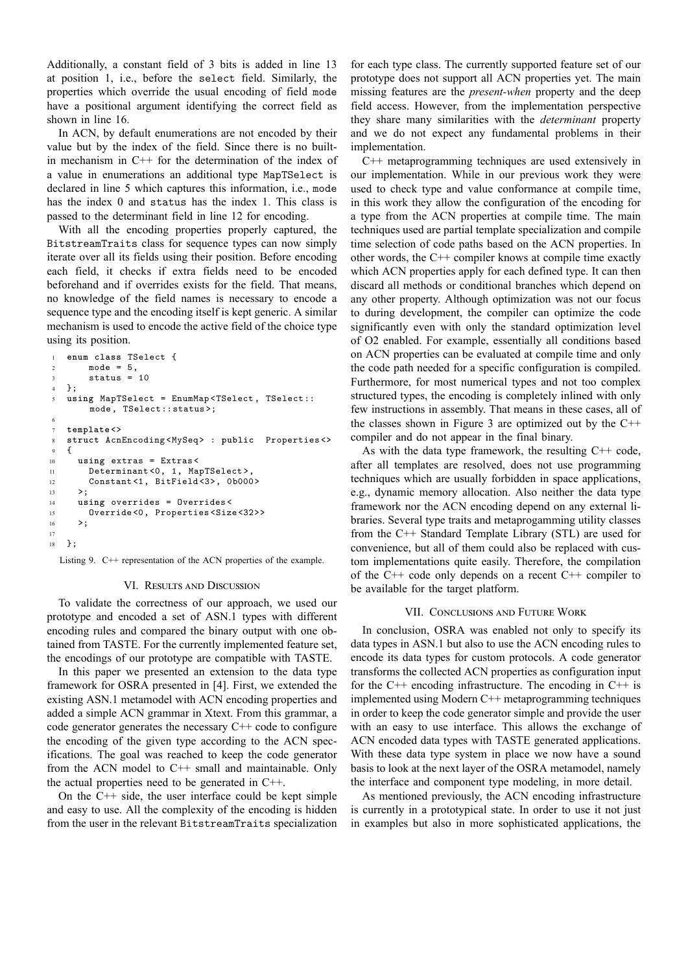Additionally, a constant field of 3 bits is added in line 13 at position 1, i.e., before the select field. Similarly, the properties which override the usual encoding of field mode have a positional argument identifying the correct field as shown in line 16.

In ACN, by default enumerations are not encoded by their value but by the index of the field. Since there is no builtin mechanism in C++ for the determination of the index of a value in enumerations an additional type MapTSelect is declared in line 5 which captures this information, i.e., mode has the index 0 and status has the index 1. This class is passed to the determinant field in line 12 for encoding.

With all the encoding properties properly captured, the BitstreamTraits class for sequence types can now simply iterate over all its fields using their position. Before encoding each field, it checks if extra fields need to be encoded beforehand and if overrides exists for the field. That means, no knowledge of the field names is necessary to encode a sequence type and the encoding itself is kept generic. A similar mechanism is used to encode the active field of the choice type using its position.

```
1 enum class TSelect {
2 \text{ mode} = 5,
3 status = 10
4 };
5 using MapTSelect = EnumMap <TSelect , TSelect::
       mode, TSelect::status>;
6
   7 template <>
8 struct AcnEncoding <MySeq> : public Properties <>
9 {
10 using extras = Extras<
11 Determinant<0, 1, MapTSelect>,
12 Constant<1, BitField<3>, 0b000>
1314 using overrides = Overrides <
15 Override <0, Properties <Size<32>>
16 \t >;17
18 };
```
Listing 9. C++ representation of the ACN properties of the example.

## VI. RESULTS AND DISCUSSION

To validate the correctness of our approach, we used our prototype and encoded a set of ASN.1 types with different encoding rules and compared the binary output with one obtained from TASTE. For the currently implemented feature set, the encodings of our prototype are compatible with TASTE.

In this paper we presented an extension to the data type framework for OSRA presented in [4]. First, we extended the existing ASN.1 metamodel with ACN encoding properties and added a simple ACN grammar in Xtext. From this grammar, a code generator generates the necessary C++ code to configure the encoding of the given type according to the ACN specifications. The goal was reached to keep the code generator from the ACN model to C++ small and maintainable. Only the actual properties need to be generated in C++.

On the  $C++$  side, the user interface could be kept simple and easy to use. All the complexity of the encoding is hidden from the user in the relevant BitstreamTraits specialization

for each type class. The currently supported feature set of our prototype does not support all ACN properties yet. The main missing features are the *present-when* property and the deep field access. However, from the implementation perspective they share many similarities with the *determinant* property and we do not expect any fundamental problems in their implementation.

C++ metaprogramming techniques are used extensively in our implementation. While in our previous work they were used to check type and value conformance at compile time, in this work they allow the configuration of the encoding for a type from the ACN properties at compile time. The main techniques used are partial template specialization and compile time selection of code paths based on the ACN properties. In other words, the C++ compiler knows at compile time exactly which ACN properties apply for each defined type. It can then discard all methods or conditional branches which depend on any other property. Although optimization was not our focus to during development, the compiler can optimize the code significantly even with only the standard optimization level of O2 enabled. For example, essentially all conditions based on ACN properties can be evaluated at compile time and only the code path needed for a specific configuration is compiled. Furthermore, for most numerical types and not too complex structured types, the encoding is completely inlined with only few instructions in assembly. That means in these cases, all of the classes shown in Figure 3 are optimized out by the  $C++$ compiler and do not appear in the final binary.

As with the data type framework, the resulting C++ code, after all templates are resolved, does not use programming techniques which are usually forbidden in space applications, e.g., dynamic memory allocation. Also neither the data type framework nor the ACN encoding depend on any external libraries. Several type traits and metaprogamming utility classes from the C++ Standard Template Library (STL) are used for convenience, but all of them could also be replaced with custom implementations quite easily. Therefore, the compilation of the  $C++$  code only depends on a recent  $C++$  compiler to be available for the target platform.

### VII. CONCLUSIONS AND FUTURE WORK

In conclusion, OSRA was enabled not only to specify its data types in ASN.1 but also to use the ACN encoding rules to encode its data types for custom protocols. A code generator transforms the collected ACN properties as configuration input for the  $C++$  encoding infrastructure. The encoding in  $C++$  is implemented using Modern C++ metaprogramming techniques in order to keep the code generator simple and provide the user with an easy to use interface. This allows the exchange of ACN encoded data types with TASTE generated applications. With these data type system in place we now have a sound basis to look at the next layer of the OSRA metamodel, namely the interface and component type modeling, in more detail.

As mentioned previously, the ACN encoding infrastructure is currently in a prototypical state. In order to use it not just in examples but also in more sophisticated applications, the